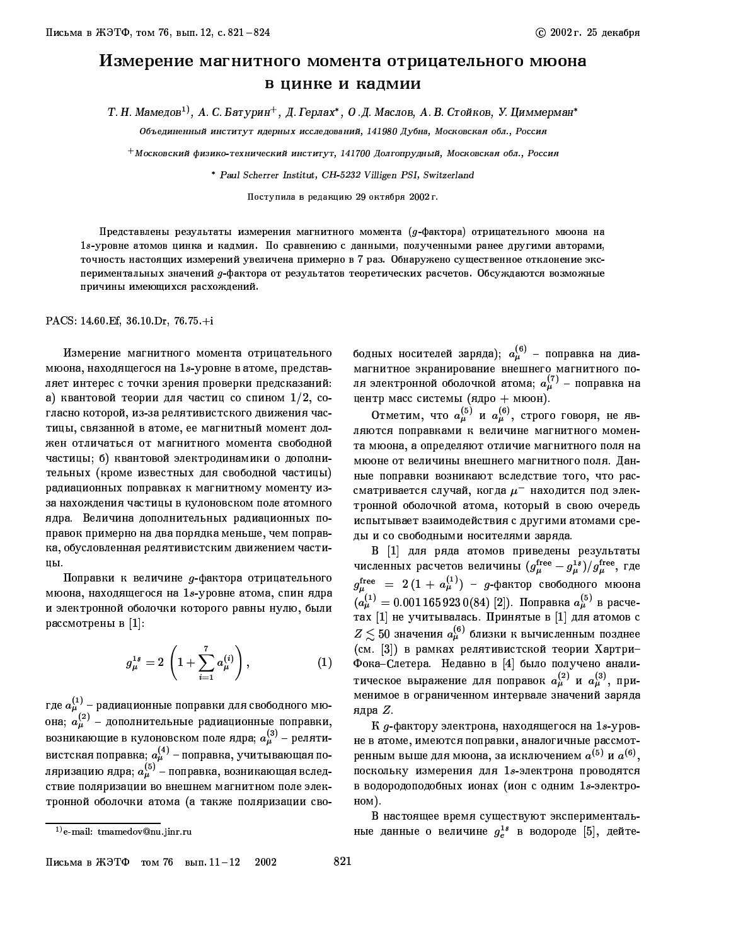## Измерение магнитного момента отрицательного мюона в цинке и кадмии

Т. Н. Мамедов<sup>1)</sup>, А. С. Батурин<sup>+</sup>, Д. Герлах\*, О.Д. Маслов, А. В. Стойков, У. Циммерман\*

Объединенный институт ядерных исследований, 141980 Дубна, Московская обл., Россия

 $^+$ Московский физико-технический институт, 141700 Долгопрудный, Московская обл., Россия

\* Paul Scherrer Institut, CH-5232 Villigen PSI, Switzerland

Поступила в редакцию 29 октября 2002 г.

Представлены результаты измерения магнитного момента (д-фактора) отрицательного мюона на 1s-уровне атомов цинка и кадмия. По сравнению с данными, полученными ранее другими авторами, точность настоящих измерений увеличена примерно в 7 раз. Обнаружено существенное отклонение экспериментальных значений д-фактора от результатов теоретических расчетов. Обсуждаются возможные причины имеющихся расхождений.

PACS: 14.60 Ef, 36.10 Dr, 76.75 +i

Измерение магнитного момента отрицательного мюона, находящегося на 18-уровне в атоме, представляет интерес с точки зрения проверки предсказаний: а) квантовой теории для частиц со спином  $1/2$ , согласно которой, из-за релятивистского движения частицы, связанной в атоме, ее магнитный момент должен отличаться от магнитного момента свободной частицы; б) квантовой электродинамики о дополнительных (кроме известных для свободной частицы) радиационных поправках к магнитному моменту изза нахождения частицы в кулоновском поле атомного ядра. Величина дополнительных радиационных поправок примерно на два порядка меньше, чем поправка, обусловленная релятивистским движением частицы.

Поправки к величине д-фактора отрицательного мюона, находящегося на 1s-уровне атома, спин ядра и электронной оболочки которого равны нулю, были рассмотрены в  $[1]$ :

$$
g_{\mu}^{1s} = 2\left(1 + \sum_{i=1}^{7} a_{\mu}^{(i)}\right), \qquad (1)
$$

где  $a_{\mu}^{(1)}$  – радиационные поправки для свободного мюона;  $a_{\mu}^{(2)}$  - дополнительные радиационные поправки, возникающие в кулоновском поле ядра;  $a_\mu^{(3)}$  – релятивистская поправка;  $a_{\mu}^{(4)}$  – поправка, учитывающая поляризацию ядра;  $a_{\mu}^{(5)}$  – поправка, возникающая вследствие поляризации во внешнем магнитном поле электронной оболочки атома (а также поляризации сво-

Письма в ЖЭТФ том 76 вып.  $11-12$ 2002 821

бодных носителей заряда);  $a_{\mu}^{(6)}$  - поправка на диамагнитное экранирование внешнего магнитного поля электронной оболочкой атома;  $a_{\mu}^{(7)}$  - поправка на центр масс системы (ядро + мюон).

Отметим, что  $a_{\mu}^{(5)}$  и  $a_{\mu}^{(6)}$ , строго говоря, не являются поправками к величине магнитного момента мюона, а определяют отличие магнитного поля на мюоне от величины внешнего магнитного поля. Данные поправки возникают вследствие того, что рассматривается случай, когда  $\mu^-$  находится под электронной оболочкой атома, который в свою очередь испытывает взаимодействия с другими атомами среды и со свободными носителями заряда.

В [1] для ряда атомов приведены результаты численных расчетов величины  $(g_{\mu}^{\text{free}}-g_{\mu}^{1s})/g_{\mu}^{\text{free}}$ , где  $g_{\mu}^{\text{free}} = 2(1 + a_{\mu}^{(1)}) - g$ -фактор свободного мюона  $a_{\mu}^{(1)} = 0.0011659230(84)$  [2]). Поправка  $a_{\mu}^{(5)}$  в расчетах [1] не учитывалась. Принятые в [1] для атомов с  $Z\leq50$  значения  $a_\mu^{(6)}$  близки к вычисленным позднее (см. [3]) в рамках релятивистской теории Хартри-Фока-Слетера. Недавно в [4] было получено аналитическое выражение для поправок  $a_{\mu}^{(2)}$  и  $a_{\mu}^{(3)}$ , применимое в ограниченном интервале значений заряда ядра  $Z$ .

К д-фактору электрона, находящегося на 1s-уровне в атоме, имеются поправки, аналогичные рассмотренным выше для мюона, за исключением  $a^{(5)}$  и  $a^{(6)}$ , поскольку измерения для 1s-электрона проводятся в водородоподобных ионах (ион с одним 1s-электро- $HOM$ ).

В настоящее время существуют экспериментальные данные о величине  $g_e^{1s}$  в водороде [5], дейте-

 $^{(1)}$ e-mail: tmamedov@nu.jinr.ru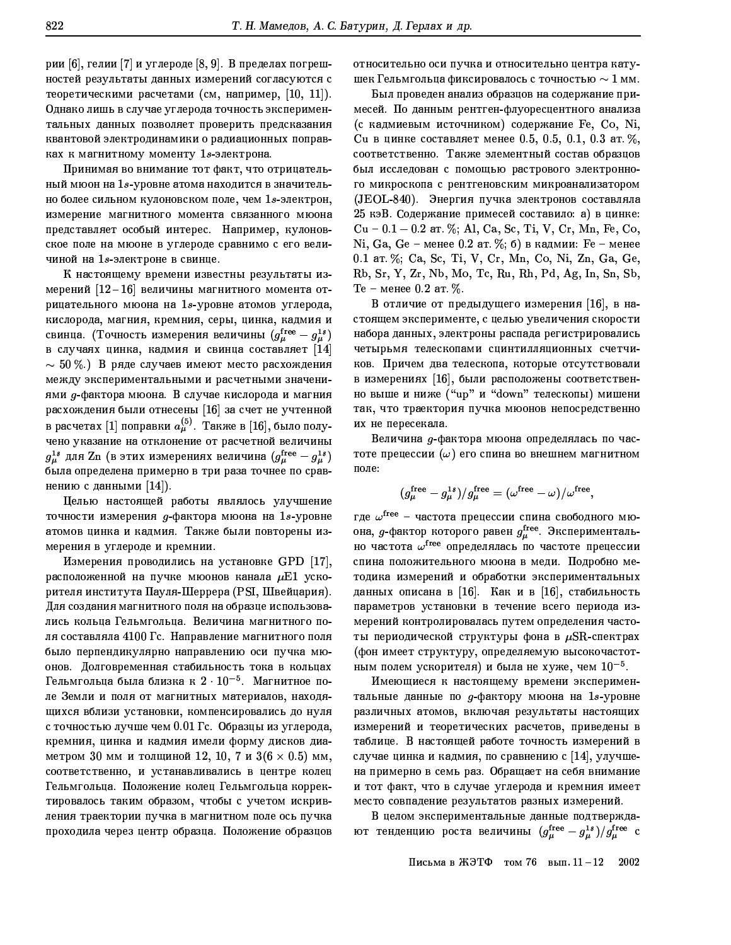рии [6], гелии [7] и углероде [8, 9]. В пределах погрешностей результаты данных измерений согласуются с теоретическими расчетами (см. например,  $[10, 11]$ ). Однако лишь в случае углерода точность экспериментальных данных позволяет проверить предсказания квантовой электродинамики о радиационных поправках к магнитному моменту 1s-электрона.

Принимая во внимание тот факт, что отрицательный мюон на 1s-уровне атома находится в значительно более сильном кулоновском поле, чем 1s-электрон, измерение магнитного момента связанного мюона представляет особый интерес. Например, кулоновское поле на мюоне в углероде сравнимо с его величиной на 1s-электроне в свинце.

К настоящему времени известны результаты измерений  $\left[12\!-\!16\right]$  величины магнитного момента отрицательного мюона на 1s-уровне атомов углерода, кислорода, магния, кремния, серы, цинка, кадмия и свинца. (Точность измерения величины  $(g_{\mu}^{\text{free}} - g_{\mu}^{\text{1s}})$ в случаях цинка, кадмия и свинца составляет  $[14]$  $\sim\,50\,\%$ .) В ряде случаев имеют место расхождения между экспериментальными и расчетными значениями д-фактора мюона. В случае кислорода и магния расхождения были отнесены [16] за счет не учтенной в расчетах [1] поправки  $a_\mu^{(5)}$ . Также в [16], было получено указание на отклонение от расчетной величины  $g_{\mu}^{1s}$  для Zn (в этих измерениях величина  $(g_{\mu}^{\text{free}}-g_{\mu}^{1s})$ была определена примерно в три раза точнее по сравнению с данными  $[14]$ ).

Целью настоящей работы являлось улучшение точности измерения д-фактора мюона на 1s-уровне атомов цинка и кадмия. Также были повторены измерения в углероде и кремнии.

Измерения проводились на установке GPD [17], расположенной на пучке мюонов канала  $\mu$ E1 ускорителя института Пауля-Шеррера (PSI, Швейцария). Для создания магнитного поля на образце использовались кольца Гельмгольца. Величина магнитного поля составляла 4100 Гс. Направление магнитного поля было перпендикулярно направлению оси пучка мюонов. Долговременная стабильность тока в кольцах Гельмгольца была близка к  $2 \cdot 10^{-5}$ . Магнитное поле Земли и поля от магнитных материалов, находящихся вблизи установки, компенсировались до нуля с точностью лучше чем 0.01 Гс. Образцы из углерода, кремния, цинка и кадмия имели форму дисков диаметром 30 мм и толщиной 12, 10, 7 и 3(6  $\times$  0.5) мм, соответственно, и устанавливались в центре колец Гельмгольца. Положение колец Гельмгольца корректировалось таким образом, чтобы с учетом искривления траектории пучка в магнитном поле ось пучка проходила через центр образца. Положение образцов относительно оси пучка и относительно центра катушек Гельмгольца фиксировалось с точностью  $\sim 1$  мм.

Был проведен анализ образцов на содержание примесей. По данным рентген-флуоресцентного анализа (с кадмиевым источником) содержание Fe, Co, Ni, Си в цинке составляет менее 0.5, 0.5, 0.1, 0.3 ат. %, соответственно. Также элементный состав образцов был исследован с помощью растрового электронного микроскопа с рентгеновским микроанализатором (JEOL-840). Энергия пучка электронов составляла 25 кэВ. Содержание примесей составило: а) в цинке: Cu - 0.1 - 0.2 ar. %; Al, Ca, Sc, Ti, V, Cr, Mn, Fe, Co, Ni, Ga, Ge - менее 0.2 ат. %; б) в кадмии: Fe - менее 0.1 ar. %; Ca, Sc, Ti, V, Cr, Mn, Co, Ni, Zn, Ga, Ge, Rb, Sr, Y, Zr, Nb, Mo, Tc, Ru, Rh, Pd, Ag, In, Sn, Sb,  $Te$  – менее 0.2 ат. %.

В отличие от предыдущего измерения  $[16]$ , в настоящем эксперименте, с целью увеличения скорости набора данных, электроны распада регистрировались четырьмя телескопами сцинтилляционных счетчиков. Причем два телескопа, которые отсутствовали в измерениях [16], были расположены соответственно выше и ниже ("up" и "down" телескопы) мишени так, что траектория пучка мюонов непосредственно их не пересекала.

Величина д-фактора мюона определялась по частоте прецессии  $(\omega)$  его спина во внешнем магнитном поле:

$$
(g_\mu^{\rm free}-g_\mu^{\rm 1s})/g_\mu^{\rm free}=(\omega^{\rm free}-\omega)/\omega^{\rm free},
$$

где  $\omega^{\text{free}}$  - частота прецессии спина свободного мюона, д-фактор которого равен  $g_{\mu}^{\text{free}}$ . Экспериментально частота  $\omega^{\rm free}$  определялась по частоте прецессии спина положительного мюона в меди. Подробно методика измерений и обработки экспериментальных данных описана в [16]. Как и в [16], стабильность параметров установки в течение всего периода измерений контролировалась путем определения частоты периодической структуры фона в  $\mu$ SR-спектрах (фон имеет структуру, определяемую высокочастотным полем ускорителя) и была не хуже, чем  $10^{-5}$ .

Имеющиеся к настоящему времени экспериментальные данные по *g*-фактору мюона на 1s-уровне различных атомов, включая результаты настоящих измерений и теоретических расчетов, приведены в таблице. В настоящей работе точность измерений в случае цинка и кадмия, по сравнению с [14], улучшена примерно в семь раз. Обращает на себя внимание и тот факт, что в случае углерода и кремния имеет место совпадение результатов разных измерений.

В целом экспериментальные данные подтверждают тенденцию роста величины  $(g_{\mu}^{\text{free}}-g_{\mu}^{\text{1s}})/g_{\mu}^{\text{free}}$  с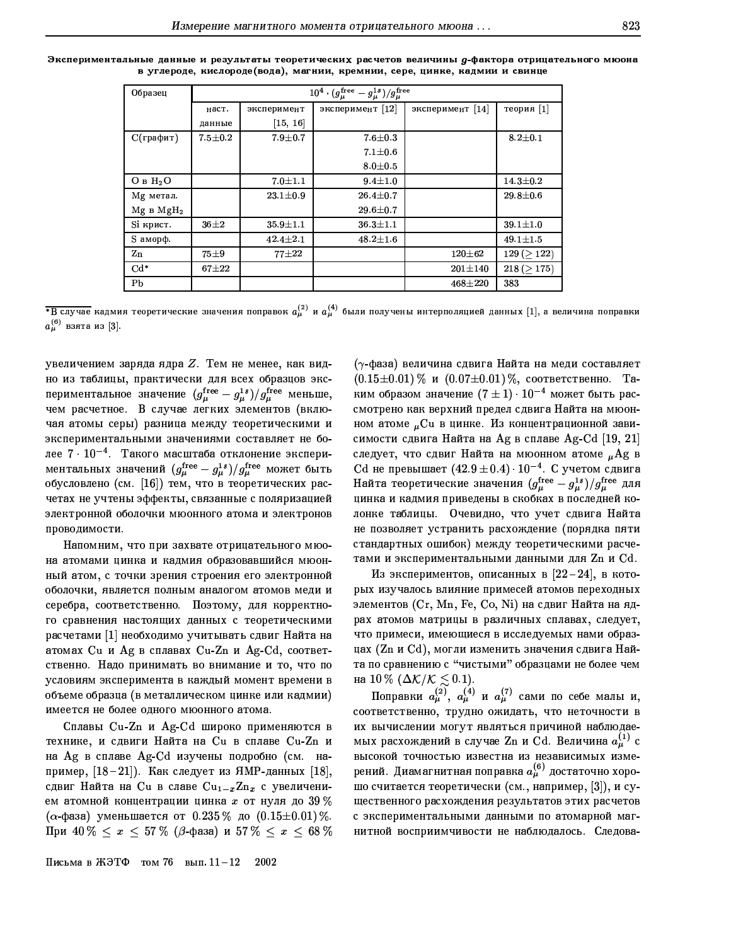| Экспериментальные данные и результаты теоретических расчетов величины д-фактора отрицательного мюона |                                                                            |  |  |  |
|------------------------------------------------------------------------------------------------------|----------------------------------------------------------------------------|--|--|--|
|                                                                                                      | в углероде, кислороде(вода), магнии, кремнии, сере, цинке, кадмии и свинце |  |  |  |

| Образец                         | $10^4 \cdot (g_{\mu}^{\text{free}} - g_{\mu}^{\text{1s}})/g_{\mu}^{\text{free}}$ |                |                  |                  |                |  |  |  |  |  |
|---------------------------------|----------------------------------------------------------------------------------|----------------|------------------|------------------|----------------|--|--|--|--|--|
|                                 | наст.                                                                            | эксперимент    | эксперимент [12] | эксперимент [14] | теория $ 1 $   |  |  |  |  |  |
|                                 | данные                                                                           | [15, 16]       |                  |                  |                |  |  |  |  |  |
| $C$ (графит)                    | $7.5 \pm 0.2$                                                                    | $7.9 + 0.7$    | $7.6 + 0.3$      |                  | $8.2 \pm 0.1$  |  |  |  |  |  |
|                                 |                                                                                  |                | $7.1 \pm 0.6$    |                  |                |  |  |  |  |  |
|                                 |                                                                                  |                | $8.0 \pm 0.5$    |                  |                |  |  |  |  |  |
| O <sub>B</sub> H <sub>2</sub> O |                                                                                  | $7.0 + 1.1$    | $9.4 \pm 1.0$    |                  | $14.3 \pm 0.2$ |  |  |  |  |  |
| Мg метал.                       |                                                                                  | $23.1 \pm 0.9$ | $26.4 \pm 0.7$   |                  | $29.8 \pm 0.6$ |  |  |  |  |  |
| Mg B MgH <sub>2</sub>           |                                                                                  |                | $29.6 \pm 0.7$   |                  |                |  |  |  |  |  |
| Si крист.                       | $36 + 2$                                                                         | $35.9 \pm 1.1$ | $36.3 \pm 1.1$   |                  | $39.1 \pm 1.0$ |  |  |  |  |  |
| S аморф.                        |                                                                                  | $42.4 \pm 2.1$ | $48.2 \pm 1.6$   |                  | $49.1 \pm 1.5$ |  |  |  |  |  |
| Zn                              | $75 + 9$                                                                         | $77 + 22$      |                  | $120 + 62$       | 129 (> 122)    |  |  |  |  |  |
| $Cd*$                           | $67\pm22$                                                                        |                |                  | $201 \pm 140$    | 218 (> 175)    |  |  |  |  |  |
| Pb                              |                                                                                  |                |                  | $468 + 220$      | 383            |  |  |  |  |  |

 $\overline{^*B}$  случае кадмия теоретические значения поправок  $a^{(2)}_\mu$  и  $a^{(4)}_\mu$  были получены интерполяцией данных  $[1]$ , а величина поправки  $a_{\mu}^{(6)}$  взята из [3].

увеличением заряда ядра  $Z$ . Тем не менее, как видно из таблицы, практически для всех образцов экспериментальное значение  $(g_\mu^{\rm free} - g_\mu^{\rm 1s})/g_\mu^{\rm free}$  меньше, чем расчетное. В случае легких элементов (включая атомы серы) разница между теоретическими и экспериментальными значениями составляет не более  $7 \cdot 10^{-4}$ . Такого масштаба отклонение экспериментальных значений  $(g_{\mu}^{\rm free} - g_{\mu}^{\rm 1s})/g_{\mu}^{\rm free}$  может быть обусловлено (см. [16]) тем, что в теоретических расчетах не учтены эффекты, связанные с поляризацией электронной оболочки мюонного атома и электронов проводимости.

Напомним, что при захвате отрицательного мюона атомами цинка и кадмия образовавшийся мюонный атом, с точки зрения строения его электронной оболочки, является полным аналогом атомов меди и серебра, соответственно. Поэтому, для корректного сравнения настоящих данных с теоретическими расчетами [1] необходимо учитывать сдвиг Найта на атомах Си и Ag в сплавах Сu-Zn и Ag-Cd, соответственно. Надо принимать во внимание и то, что по условиям эксперимента в каждый момент времени в объеме образца (в металлическом цинке или кадмии) имеется не более одного мюонного атома.

Сплавы Cu-Zn и Ag-Cd широко применяются в технике, и сдвиги Найта на Си в сплаве Cu-Zn и на Ag в сплаве Ag-Cd изучены подробно (см. например,  $[18-21]$ ). Как следует из ЯМР-данных  $[18]$ , сдвиг Найта на Си в славе  $Cu_{1-x}Zn_x$  с увеличением атомной концентрации цинка  $x$  от нуля до 39%  $(\alpha$ -фаза) уменьшается от 0.235 % до  $(0.15 \pm 0.01)$ %. При 40 %  $\leq x \leq 57\%$  ( $\beta$ -фаза) и 57 %  $\leq x \leq 68\%$ 

 $(\gamma$ -фаза) величина сдвига Найта на меди составляет  $(0.15 \pm 0.01)$  % и  $(0.07 \pm 0.01)$  %, соответственно. Таким образом значение  $(7 \pm 1) \cdot 10^{-4}$  может быть рассмотрено как верхний предел сдвига Найта на мюонном атоме  $_{\mu}$ Си в цинке. Из концентрационной зависимости сдвига Найта на Аg в сплаве Ag-Cd [19, 21] следует, что сдвиг Найта на мюонном атоме "Аg в Сd не превышает  $(42.9 \pm 0.4) \cdot 10^{-4}$ . С учетом сдвига Найта теоретические значения  $(g_{\mu}^{\text{free}}-g_{\mu}^{\text{1s}})/g_{\mu}^{\text{free}}$  для цинка и кадмия приведены в скобках в последней колонке таблицы. Очевидно, что учет сдвига Найта не позволяет устранить расхождение (порядка пяти стандартных ошибок) между теоретическими расчетами и экспериментальными данными для Zn и Cd.

Из экспериментов, описанных в  $[22-24]$ , в которых изучалось влияние примесей атомов переходных элементов (Cr, Mn, Fe, Co, Ni) на сдвиг Найта на ядрах атомов матрицы в различных сплавах, следует, что примеси, имеющиеся в исследуемых нами образцах (Zn и Cd), могли изменить значения сдвига Найта по сравнению с "чистыми" образцами не более чем

на 10 % ( $\Delta K/K \leq 0.1$ ).<br>Поправки  $a_{\mu}^{(2)}$ ,  $a_{\mu}^{(4)}$  и  $a_{\mu}^{(7)}$  сами по себе малы и, соответственно, трудно ожидать, что неточности в их вычислении могут являться причиной наблюдаемых расхождений в случае Zn и Cd. Величина  $a_{\mu}^{(1)}$  с высокой точностью известна из независимых измерений. Диамагнитная поправка  $a_\mu^{(6)}$  достаточно хорошо считается теоретически (см., например, [3]), и существенного расхождения результатов этих расчетов с экспериментальными данными по атомарной магнитной восприимчивости не наблюдалось. Следова